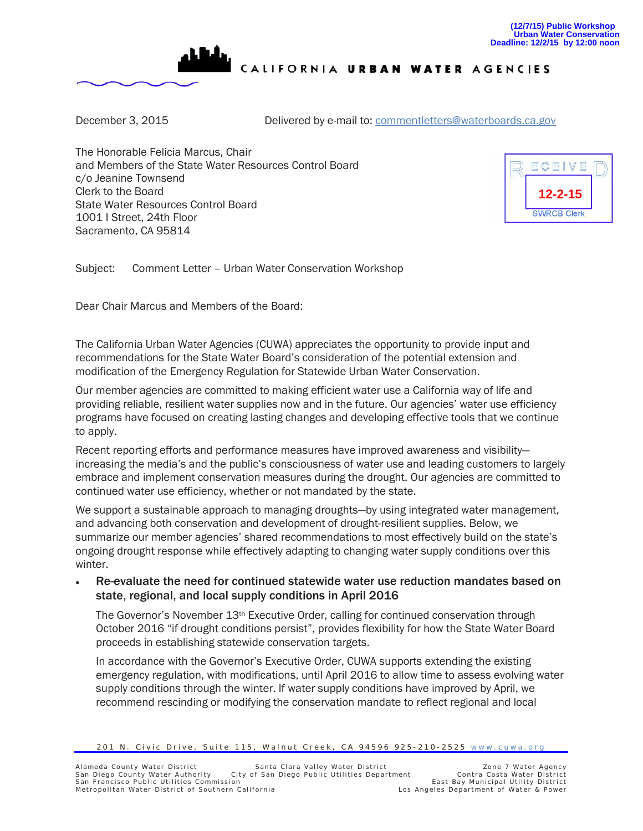

CALIFORNIA URBAN WATER AGENCIES

December 3, 2015 Delivered by e-mail to: comment letters@waterboards.ca.gov

The Honorable Felicia Marcus, Chair and Members of the State Water Resources Control Board c/o Jeanine Townsend Clerk to the Board State Water Resources Control Board 1001 I Street, 24th Floor Sacramento, CA 95814



Subject: Comment Letter – Urban Water Conservation Workshop

Dear Chair Marcus and Members of the Board:

The California Urban Water Agencies (CUWA) appreciates the opportunity to provide input and recommendations for the State Water Board's consideration of the potential extension and modification of the Emergency Regulation for Statewide Urban Water Conservation.

Our member agencies are committed to making efficient water use a California way of life and providing reliable, resilient water supplies now and in the future. Our agencies' water use efficiency programs have focused on creating lasting changes and developing effective tools that we continue to apply.

Recent reporting efforts and performance measures have improved awareness and visibility increasing the media's and the public's consciousness of water use and leading customers to largely embrace and implement conservation measures during the drought. Our agencies are committed to continued water use efficiency, whether or not mandated by the state.

We support a sustainable approach to managing droughts—by using integrated water management, and advancing both conservation and development of drought-resilient supplies. Below, we summarize our member agencies' shared recommendations to most effectively build on the state's ongoing drought response while effectively adapting to changing water supply conditions over this winter.

• Re-evaluate the need for continued statewide water use reduction mandates based on state, regional, and local supply conditions in April 2016

The Governor's November 13<sup>th</sup> Executive Order, calling for continued conservation through October 2016 "if drought conditions persist", provides flexibility for how the State Water Board proceeds in establishing statewide conservation targets.

In accordance with the Governor's Executive Order, CUWA supports extending the existing emergency regulation, with modifications, until April 2016 to allow time to assess evolving water supply conditions through the winter. If water supply conditions have improved by April, we recommend rescinding or modifying the conservation mandate to reflect regional and local

<sup>201</sup> N. Civic Drive, Suite 115, Walnut Creek, CA 94596 925-210-2525 [www.cuwa.org](http://www.cuwa.org/)